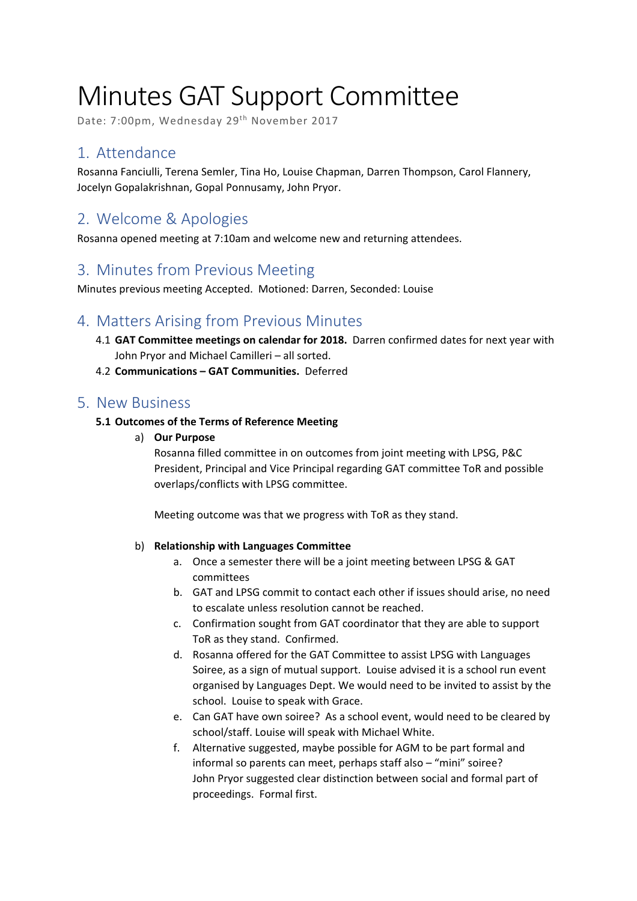# Minutes GAT Support Committee

Date: 7:00pm, Wednesday 29<sup>th</sup> November 2017

# 1. Attendance

Rosanna Fanciulli, Terena Semler, Tina Ho, Louise Chapman, Darren Thompson, Carol Flannery, Jocelyn Gopalakrishnan, Gopal Ponnusamy, John Pryor.

# 2. Welcome & Apologies

Rosanna opened meeting at 7:10am and welcome new and returning attendees.

# 3. Minutes from Previous Meeting

Minutes previous meeting Accepted. Motioned: Darren, Seconded: Louise

# 4. Matters Arising from Previous Minutes

- 4.1 **GAT Committee meetings on calendar for 2018.** Darren confirmed dates for next year with John Pryor and Michael Camilleri – all sorted.
- 4.2 **Communications GAT Communities.** Deferred

# 5. New Business

## **5.1 Outcomes of the Terms of Reference Meeting**

a) **Our Purpose**

Rosanna filled committee in on outcomes from joint meeting with LPSG, P&C President, Principal and Vice Principal regarding GAT committee ToR and possible overlaps/conflicts with LPSG committee.

Meeting outcome was that we progress with ToR as they stand.

## b) **Relationship with Languages Committee**

- a. Once a semester there will be a joint meeting between LPSG & GAT committees
- b. GAT and LPSG commit to contact each other if issues should arise, no need to escalate unless resolution cannot be reached.
- c. Confirmation sought from GAT coordinator that they are able to support ToR as they stand. Confirmed.
- d. Rosanna offered for the GAT Committee to assist LPSG with Languages Soiree, as a sign of mutual support. Louise advised it is a school run event organised by Languages Dept. We would need to be invited to assist by the school. Louise to speak with Grace.
- e. Can GAT have own soiree? As a school event, would need to be cleared by school/staff. Louise will speak with Michael White.
- f. Alternative suggested, maybe possible for AGM to be part formal and informal so parents can meet, perhaps staff also – "mini" soiree? John Pryor suggested clear distinction between social and formal part of proceedings. Formal first.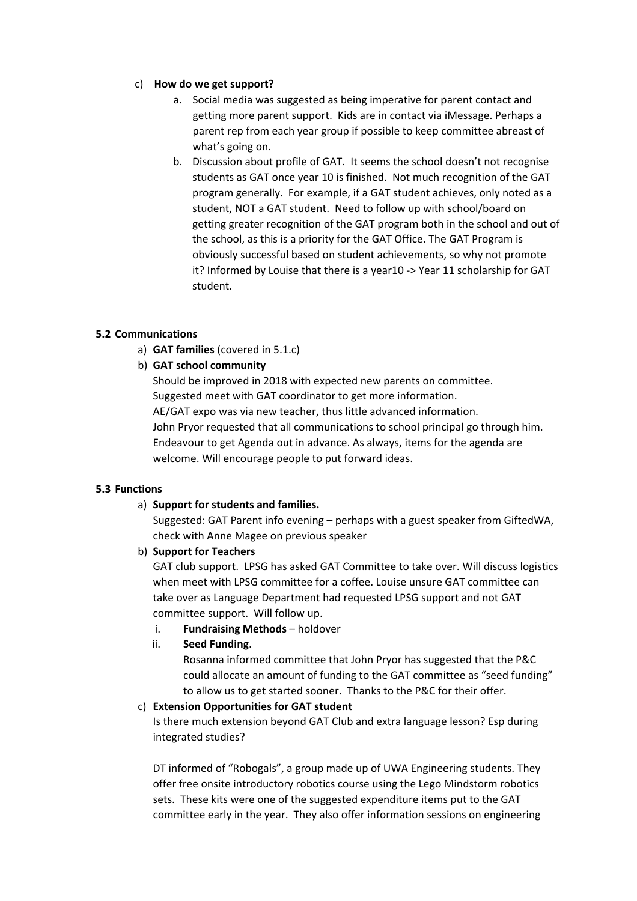#### c) **How do we get support?**

- a. Social media was suggested as being imperative for parent contact and getting more parent support. Kids are in contact via iMessage. Perhaps a parent rep from each year group if possible to keep committee abreast of what's going on.
- b. Discussion about profile of GAT. It seems the school doesn't not recognise students as GAT once year 10 is finished. Not much recognition of the GAT program generally. For example, if a GAT student achieves, only noted as a student, NOT a GAT student. Need to follow up with school/board on getting greater recognition of the GAT program both in the school and out of the school, as this is a priority for the GAT Office. The GAT Program is obviously successful based on student achievements, so why not promote it? Informed by Louise that there is a year10 -> Year 11 scholarship for GAT student.

#### **5.2 Communications**

a) **GAT families** (covered in 5.1.c)

## b) **GAT school community**

Should be improved in 2018 with expected new parents on committee. Suggested meet with GAT coordinator to get more information. AE/GAT expo was via new teacher, thus little advanced information. John Pryor requested that all communications to school principal go through him. Endeavour to get Agenda out in advance. As always, items for the agenda are welcome. Will encourage people to put forward ideas.

#### **5.3 Functions**

#### a) **Support for students and families.**

Suggested: GAT Parent info evening – perhaps with a guest speaker from GiftedWA, check with Anne Magee on previous speaker

b) **Support for Teachers** 

GAT club support. LPSG has asked GAT Committee to take over. Will discuss logistics when meet with LPSG committee for a coffee. Louise unsure GAT committee can take over as Language Department had requested LPSG support and not GAT committee support. Will follow up.

- i. **Fundraising Methods** holdover
- ii. **Seed Funding**.

Rosanna informed committee that John Pryor has suggested that the P&C could allocate an amount of funding to the GAT committee as "seed funding" to allow us to get started sooner. Thanks to the P&C for their offer.

#### c) **Extension Opportunities for GAT student**

Is there much extension beyond GAT Club and extra language lesson? Esp during integrated studies?

DT informed of "Robogals", a group made up of UWA Engineering students. They offer free onsite introductory robotics course using the Lego Mindstorm robotics sets. These kits were one of the suggested expenditure items put to the GAT committee early in the year. They also offer information sessions on engineering